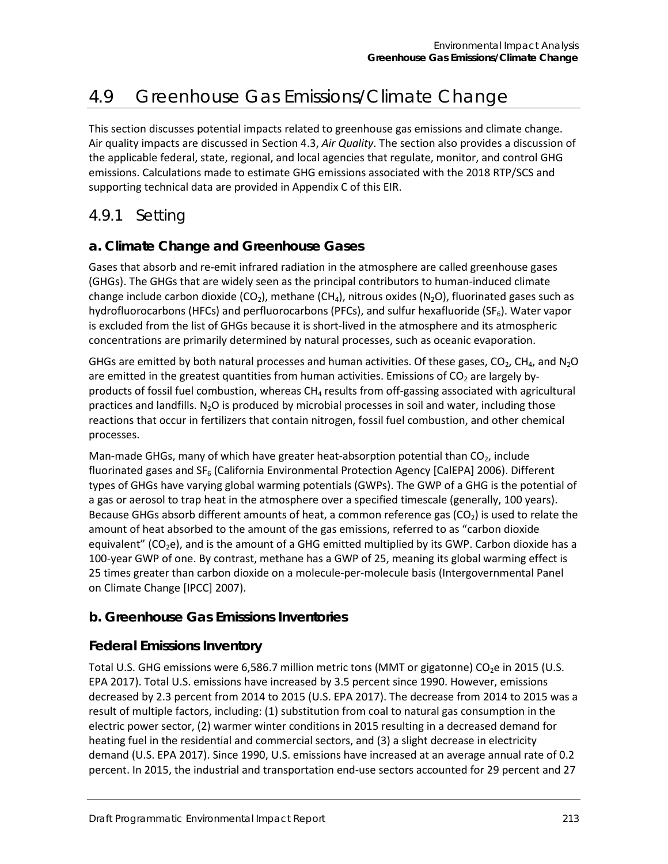# 4.9 Greenhouse Gas Emissions/Climate Change

This section discusses potential impacts related to greenhouse gas emissions and climate change. Air quality impacts are discussed in Section 4.3, *Air Quality*. The section also provides a discussion of the applicable federal, state, regional, and local agencies that regulate, monitor, and control GHG emissions. Calculations made to estimate GHG emissions associated with the 2018 RTP/SCS and supporting technical data are provided in Appendix C of this EIR.

## 4.9.1 Setting

## **a. Climate Change and Greenhouse Gases**

Gases that absorb and re-emit infrared radiation in the atmosphere are called greenhouse gases (GHGs). The GHGs that are widely seen as the principal contributors to human-induced climate change include carbon dioxide (CO<sub>2</sub>), methane (CH<sub>4</sub>), nitrous oxides (N<sub>2</sub>O), fluorinated gases such as hydrofluorocarbons (HFCs) and perfluorocarbons (PFCs), and sulfur hexafluoride (SF $_6$ ). Water vapor is excluded from the list of GHGs because it is short-lived in the atmosphere and its atmospheric concentrations are primarily determined by natural processes, such as oceanic evaporation.

GHGs are emitted by both natural processes and human activities. Of these gases,  $CO<sub>2</sub>$ , CH<sub>4</sub>, and N<sub>2</sub>O are emitted in the greatest quantities from human activities. Emissions of  $CO<sub>2</sub>$  are largely byproducts of fossil fuel combustion, whereas  $CH<sub>4</sub>$  results from off-gassing associated with agricultural practices and landfills.  $N_2O$  is produced by microbial processes in soil and water, including those reactions that occur in fertilizers that contain nitrogen, fossil fuel combustion, and other chemical processes.

Man-made GHGs, many of which have greater heat-absorption potential than  $CO<sub>2</sub>$ , include fluorinated gases and  $SF<sub>6</sub>$  (California Environmental Protection Agency [CalEPA] 2006). Different types of GHGs have varying global warming potentials (GWPs). The GWP of a GHG is the potential of a gas or aerosol to trap heat in the atmosphere over a specified timescale (generally, 100 years). Because GHGs absorb different amounts of heat, a common reference gas  $(CO<sub>2</sub>)$  is used to relate the amount of heat absorbed to the amount of the gas emissions, referred to as "carbon dioxide equivalent" ( $CO<sub>2</sub>e$ ), and is the amount of a GHG emitted multiplied by its GWP. Carbon dioxide has a 100-year GWP of one. By contrast, methane has a GWP of 25, meaning its global warming effect is 25 times greater than carbon dioxide on a molecule-per-molecule basis (Intergovernmental Panel on Climate Change [IPCC] 2007).

## **b. Greenhouse Gas Emissions Inventories**

## **Federal Emissions Inventory**

Total U.S. GHG emissions were 6,586.7 million metric tons (MMT or gigatonne) CO<sub>2</sub>e in 2015 (U.S. EPA 2017). Total U.S. emissions have increased by 3.5 percent since 1990. However, emissions decreased by 2.3 percent from 2014 to 2015 (U.S. EPA 2017). The decrease from 2014 to 2015 was a result of multiple factors, including: (1) substitution from coal to natural gas consumption in the electric power sector, (2) warmer winter conditions in 2015 resulting in a decreased demand for heating fuel in the residential and commercial sectors, and (3) a slight decrease in electricity demand (U.S. EPA 2017). Since 1990, U.S. emissions have increased at an average annual rate of 0.2 percent. In 2015, the industrial and transportation end-use sectors accounted for 29 percent and 27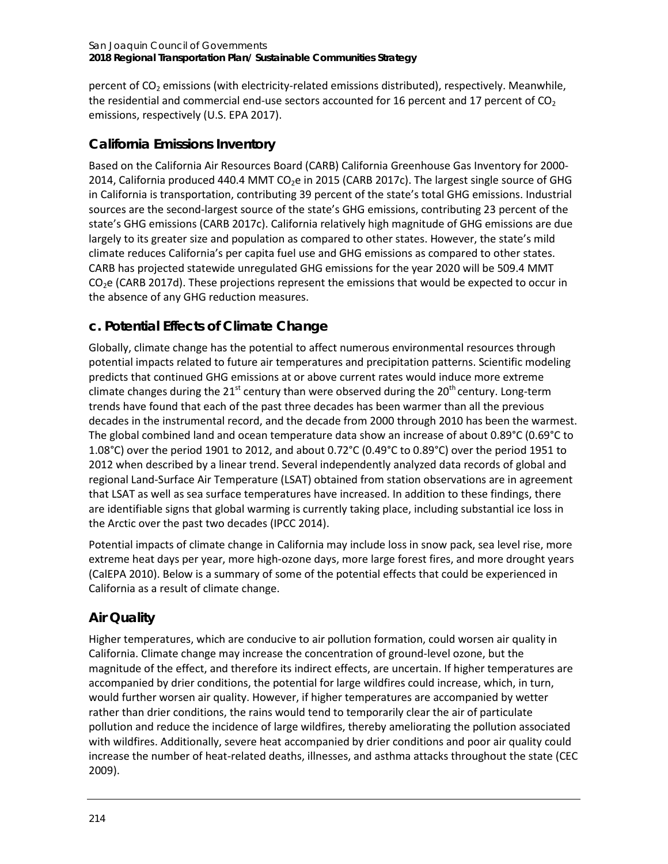percent of  $CO<sub>2</sub>$  emissions (with electricity-related emissions distributed), respectively. Meanwhile, the residential and commercial end-use sectors accounted for 16 percent and 17 percent of  $CO<sub>2</sub>$ emissions, respectively (U.S. EPA 2017).

## **California Emissions Inventory**

Based on the California Air Resources Board (CARB) California Greenhouse Gas Inventory for 2000- 2014, California produced 440.4 MMT CO<sub>2</sub>e in 2015 (CARB 2017c). The largest single source of GHG in California is transportation, contributing 39 percent of the state's total GHG emissions. Industrial sources are the second-largest source of the state's GHG emissions, contributing 23 percent of the state's GHG emissions (CARB 2017c). California relatively high magnitude of GHG emissions are due largely to its greater size and population as compared to other states. However, the state's mild climate reduces California's per capita fuel use and GHG emissions as compared to other states. CARB has projected statewide unregulated GHG emissions for the year 2020 will be 509.4 MMT  $CO<sub>2</sub>e$  (CARB 2017d). These projections represent the emissions that would be expected to occur in the absence of any GHG reduction measures.

## **c. Potential Effects of Climate Change**

Globally, climate change has the potential to affect numerous environmental resources through potential impacts related to future air temperatures and precipitation patterns. Scientific modeling predicts that continued GHG emissions at or above current rates would induce more extreme climate changes during the 21<sup>st</sup> century than were observed during the 20<sup>th</sup> century. Long-term trends have found that each of the past three decades has been warmer than all the previous decades in the instrumental record, and the decade from 2000 through 2010 has been the warmest. The global combined land and ocean temperature data show an increase of about 0.89°C (0.69°C to 1.08°C) over the period 1901 to 2012, and about 0.72°C (0.49°C to 0.89°C) over the period 1951 to 2012 when described by a linear trend. Several independently analyzed data records of global and regional Land-Surface Air Temperature (LSAT) obtained from station observations are in agreement that LSAT as well as sea surface temperatures have increased. In addition to these findings, there are identifiable signs that global warming is currently taking place, including substantial ice loss in the Arctic over the past two decades (IPCC 2014).

Potential impacts of climate change in California may include loss in snow pack, sea level rise, more extreme heat days per year, more high-ozone days, more large forest fires, and more drought years (CalEPA 2010). Below is a summary of some of the potential effects that could be experienced in California as a result of climate change.

## **Air Quality**

Higher temperatures, which are conducive to air pollution formation, could worsen air quality in California. Climate change may increase the concentration of ground-level ozone, but the magnitude of the effect, and therefore its indirect effects, are uncertain. If higher temperatures are accompanied by drier conditions, the potential for large wildfires could increase, which, in turn, would further worsen air quality. However, if higher temperatures are accompanied by wetter rather than drier conditions, the rains would tend to temporarily clear the air of particulate pollution and reduce the incidence of large wildfires, thereby ameliorating the pollution associated with wildfires. Additionally, severe heat accompanied by drier conditions and poor air quality could increase the number of heat-related deaths, illnesses, and asthma attacks throughout the state (CEC 2009).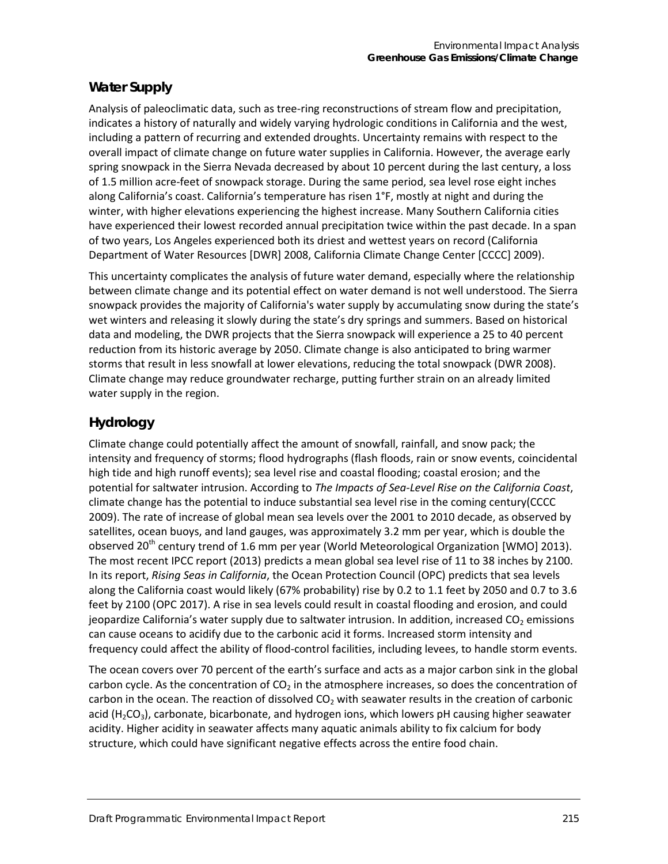## **Water Supply**

Analysis of paleoclimatic data, such as tree-ring reconstructions of stream flow and precipitation, indicates a history of naturally and widely varying hydrologic conditions in California and the west, including a pattern of recurring and extended droughts. Uncertainty remains with respect to the overall impact of climate change on future water supplies in California. However, the average early spring snowpack in the Sierra Nevada decreased by about 10 percent during the last century, a loss of 1.5 million acre-feet of snowpack storage. During the same period, sea level rose eight inches along California's coast. California's temperature has risen 1°F, mostly at night and during the winter, with higher elevations experiencing the highest increase. Many Southern California cities have experienced their lowest recorded annual precipitation twice within the past decade. In a span of two years, Los Angeles experienced both its driest and wettest years on record (California Department of Water Resources [DWR] 2008, California Climate Change Center [CCCC] 2009).

This uncertainty complicates the analysis of future water demand, especially where the relationship between climate change and its potential effect on water demand is not well understood. The Sierra snowpack provides the majority of California's water supply by accumulating snow during the state's wet winters and releasing it slowly during the state's dry springs and summers. Based on historical data and modeling, the DWR projects that the Sierra snowpack will experience a 25 to 40 percent reduction from its historic average by 2050. Climate change is also anticipated to bring warmer storms that result in less snowfall at lower elevations, reducing the total snowpack (DWR 2008). Climate change may reduce groundwater recharge, putting further strain on an already limited water supply in the region.

## **Hydrology**

Climate change could potentially affect the amount of snowfall, rainfall, and snow pack; the intensity and frequency of storms; flood hydrographs (flash floods, rain or snow events, coincidental high tide and high runoff events); sea level rise and coastal flooding; coastal erosion; and the potential for saltwater intrusion. According to *The Impacts of Sea-Level Rise on the California Coast*, climate change has the potential to induce substantial sea level rise in the coming century(CCCC 2009). The rate of increase of global mean sea levels over the 2001 to 2010 decade, as observed by satellites, ocean buoys, and land gauges, was approximately 3.2 mm per year, which is double the observed 20<sup>th</sup> century trend of 1.6 mm per year (World Meteorological Organization [WMO] 2013). The most recent IPCC report (2013) predicts a mean global sea level rise of 11 to 38 inches by 2100. In its report, *Rising Seas in California*, the Ocean Protection Council (OPC) predicts that sea levels along the California coast would likely (67% probability) rise by 0.2 to 1.1 feet by 2050 and 0.7 to 3.6 feet by 2100 (OPC 2017). A rise in sea levels could result in coastal flooding and erosion, and could jeopardize California's water supply due to saltwater intrusion. In addition, increased  $CO<sub>2</sub>$  emissions can cause oceans to acidify due to the carbonic acid it forms. Increased storm intensity and frequency could affect the ability of flood-control facilities, including levees, to handle storm events.

The ocean covers over 70 percent of the earth's surface and acts as a major carbon sink in the global carbon cycle. As the concentration of  $CO<sub>2</sub>$  in the atmosphere increases, so does the concentration of carbon in the ocean. The reaction of dissolved  $CO<sub>2</sub>$  with seawater results in the creation of carbonic acid ( $H_2CO_3$ ), carbonate, bicarbonate, and hydrogen ions, which lowers pH causing higher seawater acidity. Higher acidity in seawater affects many aquatic animals ability to fix calcium for body structure, which could have significant negative effects across the entire food chain.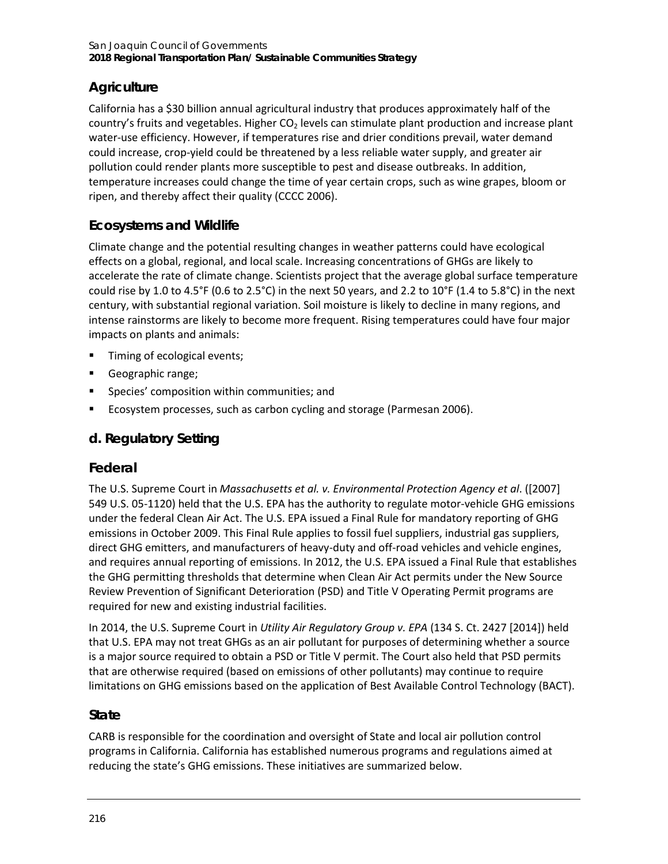## **Agriculture**

California has a \$30 billion annual agricultural industry that produces approximately half of the country's fruits and vegetables. Higher  $CO<sub>2</sub>$  levels can stimulate plant production and increase plant water-use efficiency. However, if temperatures rise and drier conditions prevail, water demand could increase, crop-yield could be threatened by a less reliable water supply, and greater air pollution could render plants more susceptible to pest and disease outbreaks. In addition, temperature increases could change the time of year certain crops, such as wine grapes, bloom or ripen, and thereby affect their quality (CCCC 2006).

## **Ecosystems and Wildlife**

Climate change and the potential resulting changes in weather patterns could have ecological effects on a global, regional, and local scale. Increasing concentrations of GHGs are likely to accelerate the rate of climate change. Scientists project that the average global surface temperature could rise by 1.0 to 4.5°F (0.6 to 2.5°C) in the next 50 years, and 2.2 to 10°F (1.4 to 5.8°C) in the next century, with substantial regional variation. Soil moisture is likely to decline in many regions, and intense rainstorms are likely to become more frequent. Rising temperatures could have four major impacts on plants and animals:

- **Timing of ecological events;**
- Geographic range;
- **Species' composition within communities; and**
- Ecosystem processes, such as carbon cycling and storage (Parmesan 2006).

## **d. Regulatory Setting**

## **Federal**

The U.S. Supreme Court in *Massachusetts et al. v. Environmental Protection Agency et al*. ([2007] 549 U.S. 05-1120) held that the U.S. EPA has the authority to regulate motor-vehicle GHG emissions under the federal Clean Air Act. The U.S. EPA issued a Final Rule for mandatory reporting of GHG emissions in October 2009. This Final Rule applies to fossil fuel suppliers, industrial gas suppliers, direct GHG emitters, and manufacturers of heavy-duty and off-road vehicles and vehicle engines, and requires annual reporting of emissions. In 2012, the U.S. EPA issued a Final Rule that establishes the GHG permitting thresholds that determine when Clean Air Act permits under the New Source Review Prevention of Significant Deterioration (PSD) and Title V Operating Permit programs are required for new and existing industrial facilities.

In 2014, the U.S. Supreme Court in *Utility Air Regulatory Group v. EPA* (134 S. Ct. 2427 [2014]) held that U.S. EPA may not treat GHGs as an air pollutant for purposes of determining whether a source is a major source required to obtain a PSD or Title V permit. The Court also held that PSD permits that are otherwise required (based on emissions of other pollutants) may continue to require limitations on GHG emissions based on the application of Best Available Control Technology (BACT).

## **State**

CARB is responsible for the coordination and oversight of State and local air pollution control programs in California. California has established numerous programs and regulations aimed at reducing the state's GHG emissions. These initiatives are summarized below.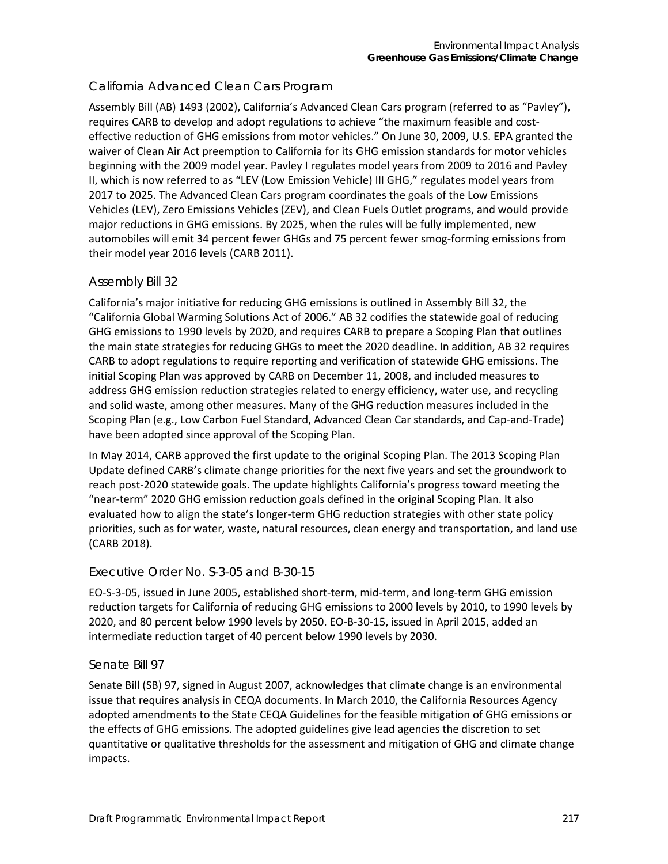## *California Advanced Clean Cars Program*

Assembly Bill (AB) 1493 (2002), California's Advanced Clean Cars program (referred to as "Pavley"), requires CARB to develop and adopt regulations to achieve "the maximum feasible and costeffective reduction of GHG emissions from motor vehicles." On June 30, 2009, U.S. EPA granted the waiver of Clean Air Act preemption to California for its GHG emission standards for motor vehicles beginning with the 2009 model year. Pavley I regulates model years from 2009 to 2016 and Pavley II, which is now referred to as "LEV (Low Emission Vehicle) III GHG," regulates model years from 2017 to 2025. The Advanced Clean Cars program coordinates the goals of the Low Emissions Vehicles (LEV), Zero Emissions Vehicles (ZEV), and Clean Fuels Outlet programs, and would provide major reductions in GHG emissions. By 2025, when the rules will be fully implemented, new automobiles will emit 34 percent fewer GHGs and 75 percent fewer smog-forming emissions from their model year 2016 levels (CARB 2011).

### *Assembly Bill 32*

California's major initiative for reducing GHG emissions is outlined in Assembly Bill 32, the "California Global Warming Solutions Act of 2006." AB 32 codifies the statewide goal of reducing GHG emissions to 1990 levels by 2020, and requires CARB to prepare a Scoping Plan that outlines the main state strategies for reducing GHGs to meet the 2020 deadline. In addition, AB 32 requires CARB to adopt regulations to require reporting and verification of statewide GHG emissions. The initial Scoping Plan was approved by CARB on December 11, 2008, and included measures to address GHG emission reduction strategies related to energy efficiency, water use, and recycling and solid waste, among other measures. Many of the GHG reduction measures included in the Scoping Plan (e.g., Low Carbon Fuel Standard, Advanced Clean Car standards, and Cap-and-Trade) have been adopted since approval of the Scoping Plan.

In May 2014, CARB approved the first update to the original Scoping Plan. The 2013 Scoping Plan Update defined CARB's climate change priorities for the next five years and set the groundwork to reach post-2020 statewide goals. The update highlights California's progress toward meeting the "near-term" 2020 GHG emission reduction goals defined in the original Scoping Plan. It also evaluated how to align the state's longer-term GHG reduction strategies with other state policy priorities, such as for water, waste, natural resources, clean energy and transportation, and land use (CARB 2018).

### *Executive Order No. S-3-05 and B-30-15*

EO-S-3-05, issued in June 2005, established short-term, mid-term, and long-term GHG emission reduction targets for California of reducing GHG emissions to 2000 levels by 2010, to 1990 levels by 2020, and 80 percent below 1990 levels by 2050. EO-B-30-15, issued in April 2015, added an intermediate reduction target of 40 percent below 1990 levels by 2030.

### *Senate Bill 97*

Senate Bill (SB) 97, signed in August 2007, acknowledges that climate change is an environmental issue that requires analysis in CEQA documents. In March 2010, the California Resources Agency adopted amendments to the State CEQA Guidelines for the feasible mitigation of GHG emissions or the effects of GHG emissions. The adopted guidelines give lead agencies the discretion to set quantitative or qualitative thresholds for the assessment and mitigation of GHG and climate change impacts.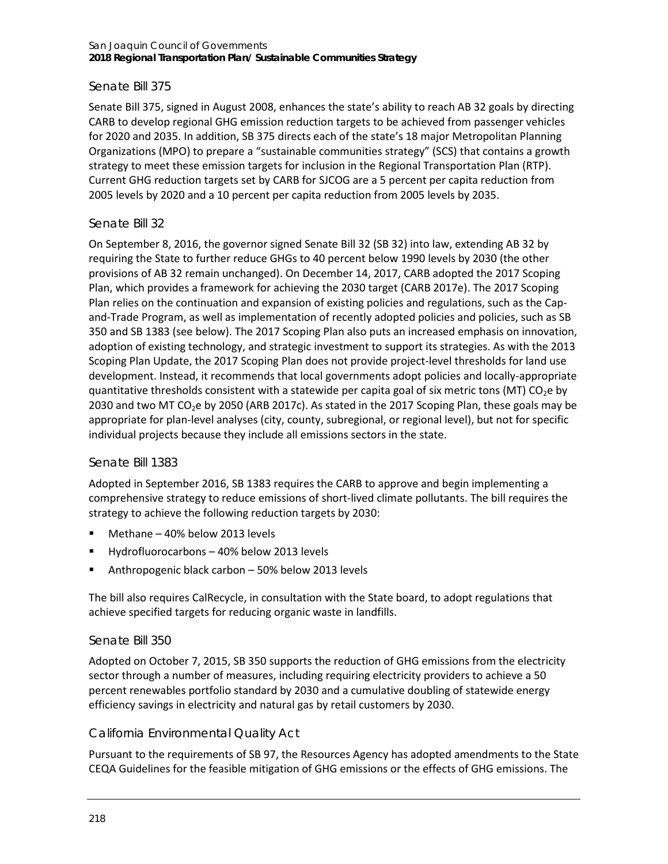### *Senate Bill 375*

Senate Bill 375, signed in August 2008, enhances the state's ability to reach AB 32 goals by directing CARB to develop regional GHG emission reduction targets to be achieved from passenger vehicles for 2020 and 2035. In addition, SB 375 directs each of the state's 18 major Metropolitan Planning Organizations (MPO) to prepare a "sustainable communities strategy" (SCS) that contains a growth strategy to meet these emission targets for inclusion in the Regional Transportation Plan (RTP). Current GHG reduction targets set by CARB for SJCOG are a 5 percent per capita reduction from 2005 levels by 2020 and a 10 percent per capita reduction from 2005 levels by 2035.

### *Senate Bill 32*

On September 8, 2016, the governor signed Senate Bill 32 (SB 32) into law, extending AB 32 by requiring the State to further reduce GHGs to 40 percent below 1990 levels by 2030 (the other provisions of AB 32 remain unchanged). On December 14, 2017, CARB adopted the 2017 Scoping Plan, which provides a framework for achieving the 2030 target (CARB 2017e). The 2017 Scoping Plan relies on the continuation and expansion of existing policies and regulations, such as the Capand-Trade Program, as well as implementation of recently adopted policies and policies, such as SB 350 and SB 1383 (see below). The 2017 Scoping Plan also puts an increased emphasis on innovation, adoption of existing technology, and strategic investment to support its strategies. As with the 2013 Scoping Plan Update, the 2017 Scoping Plan does not provide project-level thresholds for land use development. Instead, it recommends that local governments adopt policies and locally-appropriate quantitative thresholds consistent with a statewide per capita goal of six metric tons (MT) CO<sub>2</sub>e by 2030 and two MT CO<sub>2</sub>e by 2050 (ARB 2017c). As stated in the 2017 Scoping Plan, these goals may be appropriate for plan-level analyses (city, county, subregional, or regional level), but not for specific individual projects because they include all emissions sectors in the state.

### *Senate Bill 1383*

Adopted in September 2016, SB 1383 requires the CARB to approve and begin implementing a comprehensive strategy to reduce emissions of short-lived climate pollutants. The bill requires the strategy to achieve the following reduction targets by 2030:

- Methane 40% below 2013 levels
- Hydrofluorocarbons 40% below 2013 levels
- Anthropogenic black carbon 50% below 2013 levels

The bill also requires CalRecycle, in consultation with the State board, to adopt regulations that achieve specified targets for reducing organic waste in landfills.

### *Senate Bill 350*

Adopted on October 7, 2015, SB 350 supports the reduction of GHG emissions from the electricity sector through a number of measures, including requiring electricity providers to achieve a 50 percent renewables portfolio standard by 2030 and a cumulative doubling of statewide energy efficiency savings in electricity and natural gas by retail customers by 2030.

### *California Environmental Quality Act*

Pursuant to the requirements of SB 97, the Resources Agency has adopted amendments to the State CEQA Guidelines for the feasible mitigation of GHG emissions or the effects of GHG emissions. The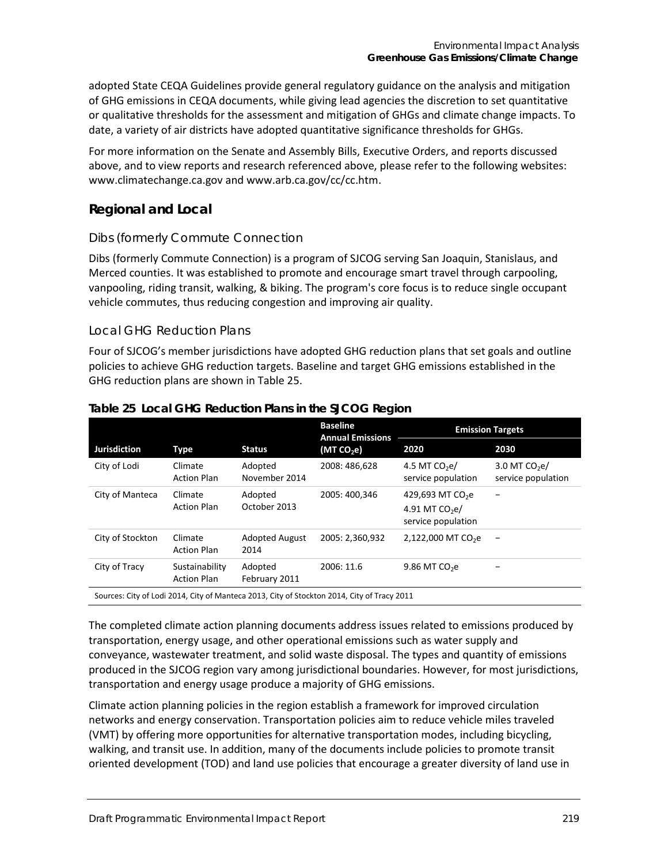adopted State CEQA Guidelines provide general regulatory guidance on the analysis and mitigation of GHG emissions in CEQA documents, while giving lead agencies the discretion to set quantitative or qualitative thresholds for the assessment and mitigation of GHGs and climate change impacts. To date, a variety of air districts have adopted quantitative significance thresholds for GHGs.

For more information on the Senate and Assembly Bills, Executive Orders, and reports discussed above, and to view reports and research referenced above, please refer to the following websites: [www.climatechange.ca.gov](http://www.climatechange.ca.gov/) and [www.arb.ca.gov/cc/cc.htm.](http://www.arb.ca.gov/cc/cc.htm)

## **Regional and Local**

### *Dibs (formerly Commute Connection*

Dibs (formerly Commute Connection) is a program of SJCOG serving San Joaquin, Stanislaus, and Merced counties. It was established to promote and encourage smart travel through carpooling, vanpooling, riding transit, walking, & biking. The program's core focus is to reduce single occupant vehicle commutes, thus reducing congestion and improving air quality.

### *Local GHG Reduction Plans*

Four of SJCOG's member jurisdictions have adopted GHG reduction plans that set goals and outline policies to achieve GHG reduction targets. Baseline and target GHG emissions established in the GHG reduction plans are shown in Table 25.

|                                                                                             |                                      |                               | <b>Baseline</b><br><b>Annual Emissions</b> | <b>Emission Targets</b>                                               |                                      |  |
|---------------------------------------------------------------------------------------------|--------------------------------------|-------------------------------|--------------------------------------------|-----------------------------------------------------------------------|--------------------------------------|--|
| <b>Jurisdiction</b>                                                                         | Type                                 | <b>Status</b>                 | (MT CO <sub>2</sub> e)                     | 2020                                                                  | 2030                                 |  |
| City of Lodi                                                                                | Climate<br><b>Action Plan</b>        | Adopted<br>November 2014      | 2008: 486,628                              | 4.5 MT $CO2e/$<br>service population                                  | 3.0 MT $CO2e/$<br>service population |  |
| City of Manteca                                                                             | Climate<br><b>Action Plan</b>        | Adopted<br>October 2013       | 2005: 400.346                              | 429,693 MT CO <sub>2</sub> e<br>4.91 MT $CO2e/$<br>service population |                                      |  |
| City of Stockton                                                                            | Climate<br><b>Action Plan</b>        | <b>Adopted August</b><br>2014 | 2005: 2,360,932                            | 2,122,000 MT CO <sub>2</sub> e                                        | $\qquad \qquad \blacksquare$         |  |
| City of Tracy                                                                               | Sustainability<br><b>Action Plan</b> | Adopted<br>February 2011      | 2006: 11.6                                 | 9.86 MT $CO2e$                                                        |                                      |  |
| Sources: City of Lodi 2014, City of Manteca 2013, City of Stockton 2014, City of Tracy 2011 |                                      |                               |                                            |                                                                       |                                      |  |

### **Table 25 Local GHG Reduction Plans in the SJCOG Region**

The completed climate action planning documents address issues related to emissions produced by transportation, energy usage, and other operational emissions such as water supply and conveyance, wastewater treatment, and solid waste disposal. The types and quantity of emissions produced in the SJCOG region vary among jurisdictional boundaries. However, for most jurisdictions, transportation and energy usage produce a majority of GHG emissions.

Climate action planning policies in the region establish a framework for improved circulation networks and energy conservation. Transportation policies aim to reduce vehicle miles traveled (VMT) by offering more opportunities for alternative transportation modes, including bicycling, walking, and transit use. In addition, many of the documents include policies to promote transit oriented development (TOD) and land use policies that encourage a greater diversity of land use in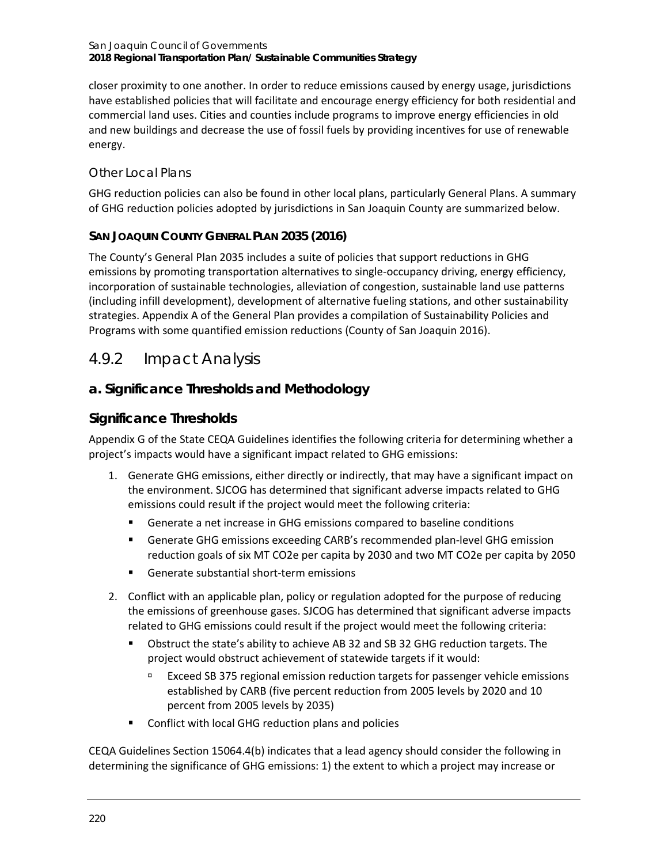closer proximity to one another. In order to reduce emissions caused by energy usage, jurisdictions have established policies that will facilitate and encourage energy efficiency for both residential and commercial land uses. Cities and counties include programs to improve energy efficiencies in old and new buildings and decrease the use of fossil fuels by providing incentives for use of renewable energy.

## *Other Local Plans*

GHG reduction policies can also be found in other local plans, particularly General Plans. A summary of GHG reduction policies adopted by jurisdictions in San Joaquin County are summarized below.

## **SAN JOAQUIN COUNTY GENERAL PLAN 2035 (2016)**

The County's General Plan 2035 includes a suite of policies that support reductions in GHG emissions by promoting transportation alternatives to single-occupancy driving, energy efficiency, incorporation of sustainable technologies, alleviation of congestion, sustainable land use patterns (including infill development), development of alternative fueling stations, and other sustainability strategies. Appendix A of the General Plan provides a compilation of Sustainability Policies and Programs with some quantified emission reductions (County of San Joaquin 2016).

## 4.9.2 Impact Analysis

## **a. Significance Thresholds and Methodology**

## **Significance Thresholds**

Appendix G of the State CEQA Guidelines identifies the following criteria for determining whether a project's impacts would have a significant impact related to GHG emissions:

- 1. Generate GHG emissions, either directly or indirectly, that may have a significant impact on the environment. SJCOG has determined that significant adverse impacts related to GHG emissions could result if the project would meet the following criteria:
	- Generate a net increase in GHG emissions compared to baseline conditions
	- Generate GHG emissions exceeding CARB's recommended plan-level GHG emission reduction goals of six MT CO2e per capita by 2030 and two MT CO2e per capita by 2050
	- Generate substantial short-term emissions
- 2. Conflict with an applicable plan, policy or regulation adopted for the purpose of reducing the emissions of greenhouse gases. SJCOG has determined that significant adverse impacts related to GHG emissions could result if the project would meet the following criteria:
	- Obstruct the state's ability to achieve AB 32 and SB 32 GHG reduction targets. The project would obstruct achievement of statewide targets if it would:
		- Exceed SB 375 regional emission reduction targets for passenger vehicle emissions established by CARB (five percent reduction from 2005 levels by 2020 and 10 percent from 2005 levels by 2035)
	- **EXECONFLICT:** Conflict with local GHG reduction plans and policies

CEQA Guidelines Section 15064.4(b) indicates that a lead agency should consider the following in determining the significance of GHG emissions: 1) the extent to which a project may increase or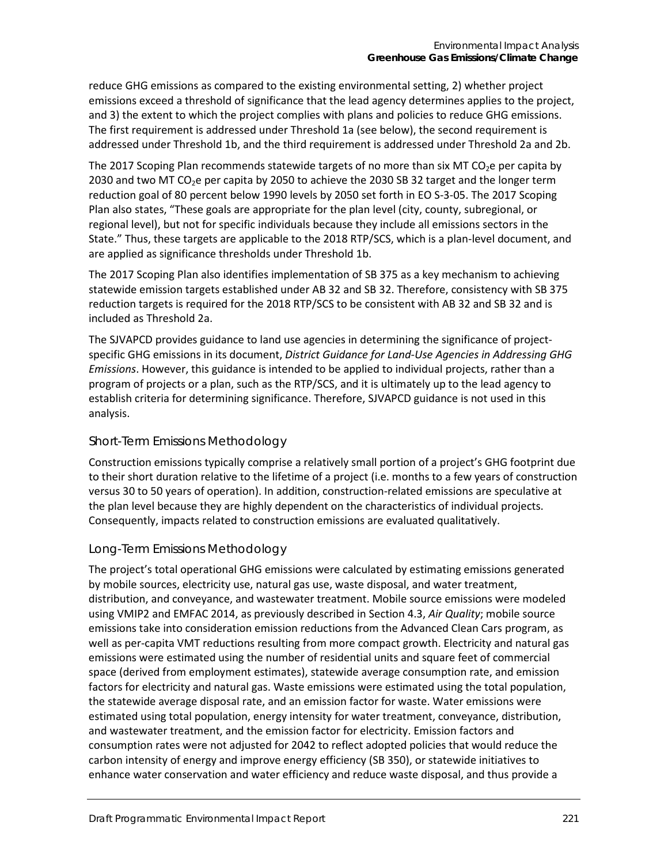reduce GHG emissions as compared to the existing environmental setting, 2) whether project emissions exceed a threshold of significance that the lead agency determines applies to the project, and 3) the extent to which the project complies with plans and policies to reduce GHG emissions. The first requirement is addressed under Threshold 1a (see below), the second requirement is addressed under Threshold 1b, and the third requirement is addressed under Threshold 2a and 2b.

The 2017 Scoping Plan recommends statewide targets of no more than six MT CO<sub>2</sub>e per capita by 2030 and two MT CO<sub>2</sub>e per capita by 2050 to achieve the 2030 SB 32 target and the longer term reduction goal of 80 percent below 1990 levels by 2050 set forth in EO S-3-05. The 2017 Scoping Plan also states, "These goals are appropriate for the plan level (city, county, subregional, or regional level), but not for specific individuals because they include all emissions sectors in the State." Thus, these targets are applicable to the 2018 RTP/SCS, which is a plan-level document, and are applied as significance thresholds under Threshold 1b.

The 2017 Scoping Plan also identifies implementation of SB 375 as a key mechanism to achieving statewide emission targets established under AB 32 and SB 32. Therefore, consistency with SB 375 reduction targets is required for the 2018 RTP/SCS to be consistent with AB 32 and SB 32 and is included as Threshold 2a.

The SJVAPCD provides guidance to land use agencies in determining the significance of projectspecific GHG emissions in its document, *District Guidance for Land-Use Agencies in Addressing GHG Emissions*. However, this guidance is intended to be applied to individual projects, rather than a program of projects or a plan, such as the RTP/SCS, and it is ultimately up to the lead agency to establish criteria for determining significance. Therefore, SJVAPCD guidance is not used in this analysis.

## *Short-Term Emissions Methodology*

Construction emissions typically comprise a relatively small portion of a project's GHG footprint due to their short duration relative to the lifetime of a project (i.e. months to a few years of construction versus 30 to 50 years of operation). In addition, construction-related emissions are speculative at the plan level because they are highly dependent on the characteristics of individual projects. Consequently, impacts related to construction emissions are evaluated qualitatively.

### *Long-Term Emissions Methodology*

The project's total operational GHG emissions were calculated by estimating emissions generated by mobile sources, electricity use, natural gas use, waste disposal, and water treatment, distribution, and conveyance, and wastewater treatment. Mobile source emissions were modeled using VMIP2 and EMFAC 2014, as previously described in Section 4.3, *Air Quality*; mobile source emissions take into consideration emission reductions from the Advanced Clean Cars program, as well as per-capita VMT reductions resulting from more compact growth. Electricity and natural gas emissions were estimated using the number of residential units and square feet of commercial space (derived from employment estimates), statewide average consumption rate, and emission factors for electricity and natural gas. Waste emissions were estimated using the total population, the statewide average disposal rate, and an emission factor for waste. Water emissions were estimated using total population, energy intensity for water treatment, conveyance, distribution, and wastewater treatment, and the emission factor for electricity. Emission factors and consumption rates were not adjusted for 2042 to reflect adopted policies that would reduce the carbon intensity of energy and improve energy efficiency (SB 350), or statewide initiatives to enhance water conservation and water efficiency and reduce waste disposal, and thus provide a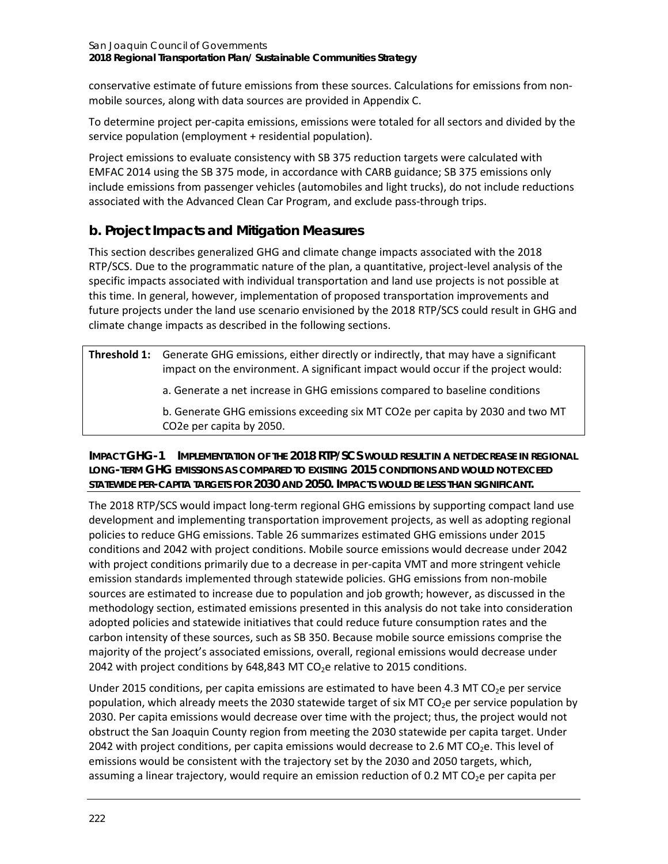conservative estimate of future emissions from these sources. Calculations for emissions from nonmobile sources, along with data sources are provided in Appendix C.

To determine project per-capita emissions, emissions were totaled for all sectors and divided by the service population (employment + residential population).

Project emissions to evaluate consistency with SB 375 reduction targets were calculated with EMFAC 2014 using the SB 375 mode, in accordance with CARB guidance; SB 375 emissions only include emissions from passenger vehicles (automobiles and light trucks), do not include reductions associated with the Advanced Clean Car Program, and exclude pass-through trips.

## **b. Project Impacts and Mitigation Measures**

This section describes generalized GHG and climate change impacts associated with the 2018 RTP/SCS. Due to the programmatic nature of the plan, a quantitative, project-level analysis of the specific impacts associated with individual transportation and land use projects is not possible at this time. In general, however, implementation of proposed transportation improvements and future projects under the land use scenario envisioned by the 2018 RTP/SCS could result in GHG and climate change impacts as described in the following sections.

| <b>Threshold 1:</b> Generate GHG emissions, either directly or indirectly, that may have a significant<br>impact on the environment. A significant impact would occur if the project would: |
|---------------------------------------------------------------------------------------------------------------------------------------------------------------------------------------------|
| a. Generate a net increase in GHG emissions compared to baseline conditions                                                                                                                 |
| b. Generate GHG emissions exceeding six MT CO2e per capita by 2030 and two MT<br>CO2e per capita by 2050.                                                                                   |

### **IMPACT GHG-1 IMPLEMENTATION OF THE 2018 RTP/SCS WOULD RESULT IN A NET DECREASE IN REGIONAL LONG-TERM GHG EMISSIONS AS COMPARED TO EXISTING 2015 CONDITIONS AND WOULD NOT EXCEED STATEWIDE PER-CAPITA TARGETS FOR 2030 AND 2050. IMPACTS WOULD BE LESS THAN SIGNIFICANT.**

The 2018 RTP/SCS would impact long-term regional GHG emissions by supporting compact land use development and implementing transportation improvement projects, as well as adopting regional policies to reduce GHG emissions. [Table 26](#page-10-0) summarizes estimated GHG emissions under 2015 conditions and 2042 with project conditions. Mobile source emissions would decrease under 2042 with project conditions primarily due to a decrease in per-capita VMT and more stringent vehicle emission standards implemented through statewide policies. GHG emissions from non-mobile sources are estimated to increase due to population and job growth; however, as discussed in the methodology section, estimated emissions presented in this analysis do not take into consideration adopted policies and statewide initiatives that could reduce future consumption rates and the carbon intensity of these sources, such as SB 350. Because mobile source emissions comprise the majority of the project's associated emissions, overall, regional emissions would decrease under 2042 with project conditions by 648,843 MT  $CO<sub>2</sub>$ e relative to 2015 conditions.

Under 2015 conditions, per capita emissions are estimated to have been 4.3 MT  $CO<sub>2</sub>e$  per service population, which already meets the 2030 statewide target of six MT  $CO<sub>2</sub>e$  per service population by 2030. Per capita emissions would decrease over time with the project; thus, the project would not obstruct the San Joaquin County region from meeting the 2030 statewide per capita target. Under 2042 with project conditions, per capita emissions would decrease to 2.6 MT CO<sub>2</sub>e. This level of emissions would be consistent with the trajectory set by the 2030 and 2050 targets, which, assuming a linear trajectory, would require an emission reduction of 0.2 MT CO<sub>2</sub>e per capita per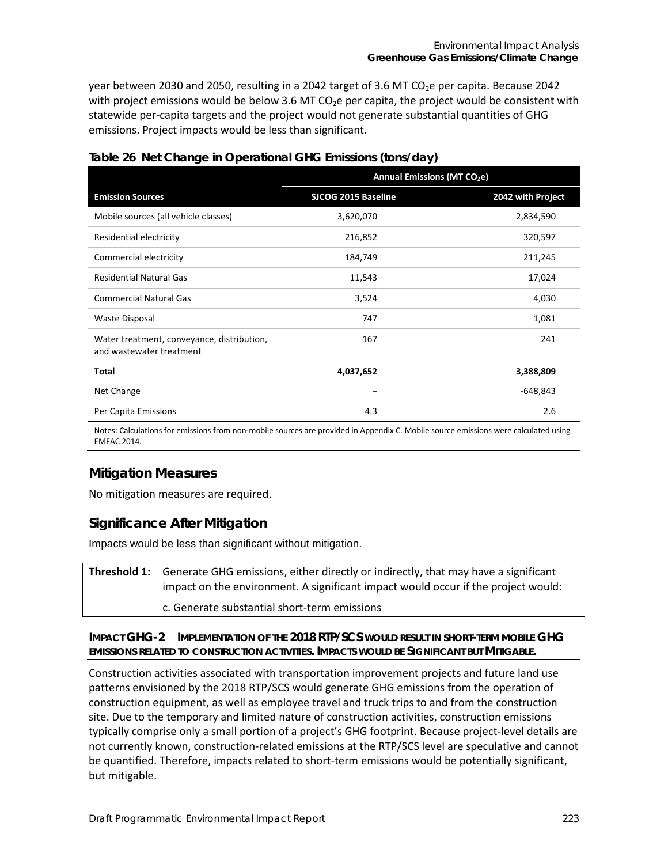year between 2030 and 2050, resulting in a 2042 target of 3.6 MT CO<sub>2</sub>e per capita. Because 2042 with project emissions would be below 3.6 MT CO<sub>2</sub>e per capita, the project would be consistent with statewide per-capita targets and the project would not generate substantial quantities of GHG emissions. Project impacts would be less than significant.

|                                                                        | Annual Emissions (MT CO <sub>2</sub> e) |                   |  |
|------------------------------------------------------------------------|-----------------------------------------|-------------------|--|
| <b>Emission Sources</b>                                                | SJCOG 2015 Baseline                     | 2042 with Project |  |
| Mobile sources (all vehicle classes)                                   | 3,620,070                               | 2,834,590         |  |
| Residential electricity                                                | 216,852                                 | 320,597           |  |
| Commercial electricity                                                 | 184,749                                 | 211,245           |  |
| <b>Residential Natural Gas</b>                                         | 11,543                                  | 17,024            |  |
| <b>Commercial Natural Gas</b>                                          | 3,524                                   | 4,030             |  |
| <b>Waste Disposal</b>                                                  | 747                                     | 1,081             |  |
| Water treatment, conveyance, distribution,<br>and wastewater treatment | 167                                     | 241               |  |
| <b>Total</b>                                                           | 4,037,652                               | 3,388,809         |  |
| Net Change                                                             |                                         | $-648,843$        |  |
| Per Capita Emissions                                                   | 4.3                                     | 2.6               |  |

#### <span id="page-10-0"></span>**Table 26 Net Change in Operational GHG Emissions (tons/day)**

Notes: Calculations for emissions from non-mobile sources are provided in Appendix C. Mobile source emissions were calculated using EMFAC 2014.

## **Mitigation Measures**

No mitigation measures are required.

## **Significance After Mitigation**

Impacts would be less than significant without mitigation.

**Threshold 1:** Generate GHG emissions, either directly or indirectly, that may have a significant impact on the environment. A significant impact would occur if the project would:

c. Generate substantial short-term emissions

#### **IMPACT GHG-2 IMPLEMENTATION OF THE 2018 RTP/SCS WOULD RESULT IN SHORT-TERM MOBILE GHG EMISSIONS RELATED TO CONSTRUCTION ACTIVITIES. IMPACTS WOULD BE SIGNIFICANT BUT MITIGABLE.**

Construction activities associated with transportation improvement projects and future land use patterns envisioned by the 2018 RTP/SCS would generate GHG emissions from the operation of construction equipment, as well as employee travel and truck trips to and from the construction site. Due to the temporary and limited nature of construction activities, construction emissions typically comprise only a small portion of a project's GHG footprint. Because project-level details are not currently known, construction-related emissions at the RTP/SCS level are speculative and cannot be quantified. Therefore, impacts related to short-term emissions would be potentially significant, but mitigable.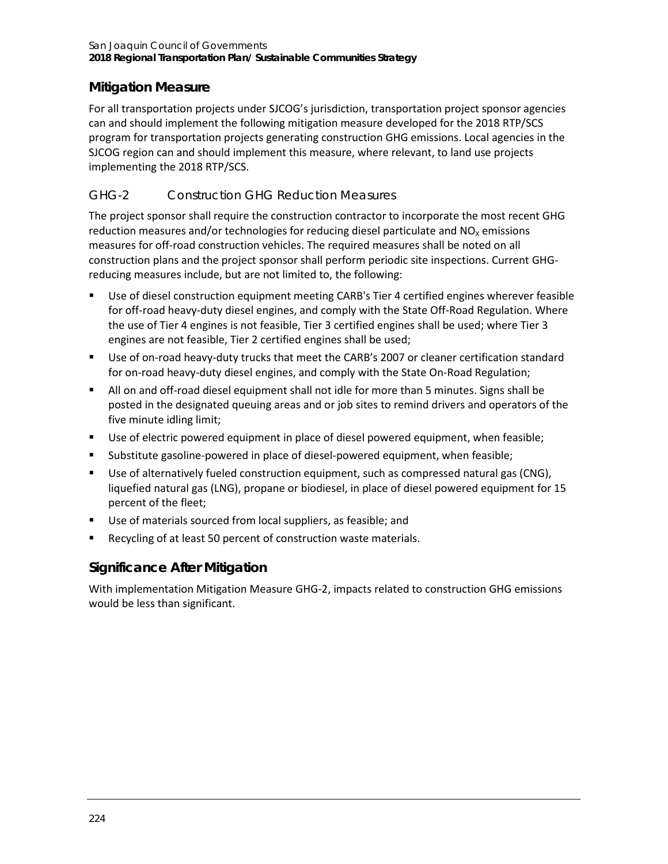## **Mitigation Measure**

For all transportation projects under SJCOG's jurisdiction, transportation project sponsor agencies can and should implement the following mitigation measure developed for the 2018 RTP/SCS program for transportation projects generating construction GHG emissions. Local agencies in the SJCOG region can and should implement this measure, where relevant, to land use projects implementing the 2018 RTP/SCS.

## *GHG-2 Construction GHG Reduction Measures*

The project sponsor shall require the construction contractor to incorporate the most recent GHG reduction measures and/or technologies for reducing diesel particulate and  $NO<sub>X</sub>$  emissions measures for off-road construction vehicles. The required measures shall be noted on all construction plans and the project sponsor shall perform periodic site inspections. Current GHGreducing measures include, but are not limited to, the following:

- Use of diesel construction equipment meeting CARB's Tier 4 certified engines wherever feasible for off-road heavy-duty diesel engines, and comply with the State Off-Road Regulation. Where the use of Tier 4 engines is not feasible, Tier 3 certified engines shall be used; where Tier 3 engines are not feasible, Tier 2 certified engines shall be used;
- Use of on-road heavy-duty trucks that meet the CARB's 2007 or cleaner certification standard for on-road heavy-duty diesel engines, and comply with the State On-Road Regulation;
- All on and off-road diesel equipment shall not idle for more than 5 minutes. Signs shall be posted in the designated queuing areas and or job sites to remind drivers and operators of the five minute idling limit;
- Use of electric powered equipment in place of diesel powered equipment, when feasible;
- Substitute gasoline-powered in place of diesel-powered equipment, when feasible;
- Use of alternatively fueled construction equipment, such as compressed natural gas (CNG), liquefied natural gas (LNG), propane or biodiesel, in place of diesel powered equipment for 15 percent of the fleet;
- Use of materials sourced from local suppliers, as feasible; and
- Recycling of at least 50 percent of construction waste materials.

## **Significance After Mitigation**

With implementation Mitigation Measure GHG-2, impacts related to construction GHG emissions would be less than significant.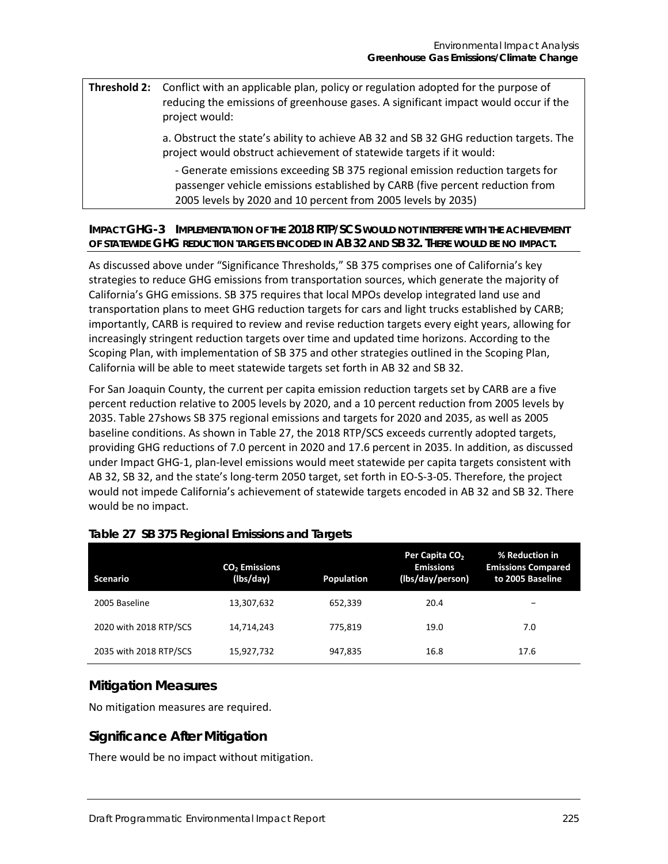### **Threshold 2:** Conflict with an applicable plan, policy or regulation adopted for the purpose of reducing the emissions of greenhouse gases. A significant impact would occur if the project would:

a. Obstruct the state's ability to achieve AB 32 and SB 32 GHG reduction targets. The project would obstruct achievement of statewide targets if it would:

- Generate emissions exceeding SB 375 regional emission reduction targets for passenger vehicle emissions established by CARB (five percent reduction from 2005 levels by 2020 and 10 percent from 2005 levels by 2035)

### **IMPACT GHG-3 IMPLEMENTATION OF THE 2018 RTP/SCS WOULD NOT INTERFERE WITH THE ACHIEVEMENT OF STATEWIDE GHG REDUCTION TARGETS ENCODED IN AB 32 AND SB 32. THERE WOULD BE NO IMPACT.**

As discussed above under "Significance Thresholds," SB 375 comprises one of California's key strategies to reduce GHG emissions from transportation sources, which generate the majority of California's GHG emissions. SB 375 requires that local MPOs develop integrated land use and transportation plans to meet GHG reduction targets for cars and light trucks established by CARB; importantly, CARB is required to review and revise reduction targets every eight years, allowing for increasingly stringent reduction targets over time and updated time horizons. According to the Scoping Plan, with implementation of SB 375 and other strategies outlined in the Scoping Plan, California will be able to meet statewide targets set forth in AB 32 and SB 32.

For San Joaquin County, the current per capita emission reduction targets set by CARB are a five percent reduction relative to 2005 levels by 2020, and a 10 percent reduction from 2005 levels by 2035. [Table 27s](#page-12-0)hows SB 375 regional emissions and targets for 2020 and 2035, as well as 2005 baseline conditions. As shown in [Table 27,](#page-12-0) the 2018 RTP/SCS exceeds currently adopted targets, providing GHG reductions of 7.0 percent in 2020 and 17.6 percent in 2035. In addition, as discussed under Impact GHG-1, plan-level emissions would meet statewide per capita targets consistent with AB 32, SB 32, and the state's long-term 2050 target, set forth in EO-S-3-05. Therefore, the project would not impede California's achievement of statewide targets encoded in AB 32 and SB 32. There would be no impact.

| <b>Scenario</b>        | CO <sub>2</sub> Emissions<br>(Ibs/day) | <b>Population</b> | Per Capita CO <sub>2</sub><br><b>Emissions</b><br>(lbs/day/person) | % Reduction in<br><b>Emissions Compared</b><br>to 2005 Baseline |
|------------------------|----------------------------------------|-------------------|--------------------------------------------------------------------|-----------------------------------------------------------------|
| 2005 Baseline          | 13,307,632                             | 652.339           | 20.4                                                               | $\overline{\phantom{0}}$                                        |
| 2020 with 2018 RTP/SCS | 14,714,243                             | 775.819           | 19.0                                                               | 7.0                                                             |
| 2035 with 2018 RTP/SCS | 15,927,732                             | 947,835           | 16.8                                                               | 17.6                                                            |

### <span id="page-12-0"></span>**Table 27 SB 375 Regional Emissions and Targets**

### **Mitigation Measures**

No mitigation measures are required.

## **Significance After Mitigation**

There would be no impact without mitigation.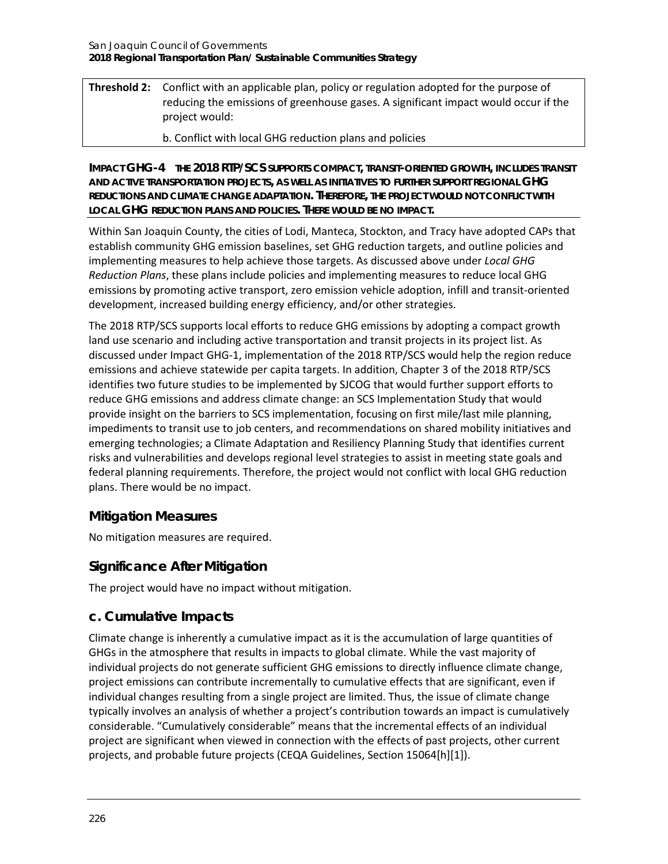## **Threshold 2:** Conflict with an applicable plan, policy or regulation adopted for the purpose of reducing the emissions of greenhouse gases. A significant impact would occur if the project would:

b. Conflict with local GHG reduction plans and policies

**IMPACT GHG-4 THE 2018 RTP/SCS SUPPORTS COMPACT, TRANSIT-ORIENTED GROWTH, INCLUDES TRANSIT AND ACTIVE TRANSPORTATION PROJECTS, AS WELL AS INITIATIVES TO FURTHER SUPPORT REGIONAL GHG REDUCTIONS AND CLIMATE CHANGE ADAPTATION. THEREFORE, THE PROJECT WOULD NOT CONFLICT WITH LOCAL GHG REDUCTION PLANS AND POLICIES. THERE WOULD BE NO IMPACT.**

Within San Joaquin County, the cities of Lodi, Manteca, Stockton, and Tracy have adopted CAPs that establish community GHG emission baselines, set GHG reduction targets, and outline policies and implementing measures to help achieve those targets. As discussed above under *Local GHG Reduction Plans*, these plans include policies and implementing measures to reduce local GHG emissions by promoting active transport, zero emission vehicle adoption, infill and transit-oriented development, increased building energy efficiency, and/or other strategies.

The 2018 RTP/SCS supports local efforts to reduce GHG emissions by adopting a compact growth land use scenario and including active transportation and transit projects in its project list. As discussed under Impact GHG-1, implementation of the 2018 RTP/SCS would help the region reduce emissions and achieve statewide per capita targets. In addition, Chapter 3 of the 2018 RTP/SCS identifies two future studies to be implemented by SJCOG that would further support efforts to reduce GHG emissions and address climate change: an SCS Implementation Study that would provide insight on the barriers to SCS implementation, focusing on first mile/last mile planning, impediments to transit use to job centers, and recommendations on shared mobility initiatives and emerging technologies; a Climate Adaptation and Resiliency Planning Study that identifies current risks and vulnerabilities and develops regional level strategies to assist in meeting state goals and federal planning requirements. Therefore, the project would not conflict with local GHG reduction plans. There would be no impact.

## **Mitigation Measures**

No mitigation measures are required.

## **Significance After Mitigation**

The project would have no impact without mitigation.

## **c. Cumulative Impacts**

Climate change is inherently a cumulative impact as it is the accumulation of large quantities of GHGs in the atmosphere that results in impacts to global climate. While the vast majority of individual projects do not generate sufficient GHG emissions to directly influence climate change, project emissions can contribute incrementally to cumulative effects that are significant, even if individual changes resulting from a single project are limited. Thus, the issue of climate change typically involves an analysis of whether a project's contribution towards an impact is cumulatively considerable. "Cumulatively considerable" means that the incremental effects of an individual project are significant when viewed in connection with the effects of past projects, other current projects, and probable future projects (CEQA Guidelines, Section 15064[h][1]).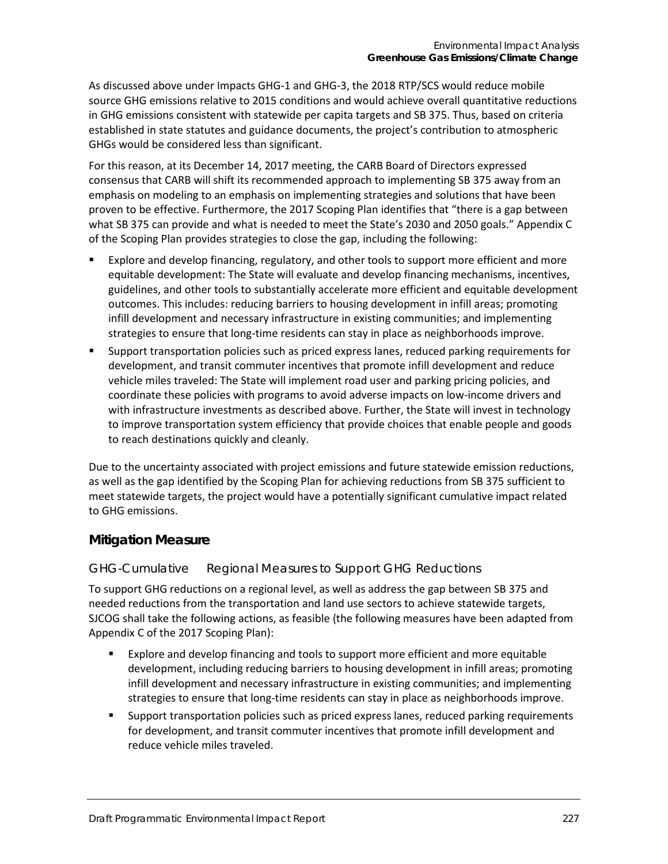As discussed above under Impacts GHG-1 and GHG-3, the 2018 RTP/SCS would reduce mobile source GHG emissions relative to 2015 conditions and would achieve overall quantitative reductions in GHG emissions consistent with statewide per capita targets and SB 375. Thus, based on criteria established in state statutes and guidance documents, the project's contribution to atmospheric GHGs would be considered less than significant.

For this reason, at its December 14, 2017 meeting, the CARB Board of Directors expressed consensus that CARB will shift its recommended approach to implementing SB 375 away from an emphasis on modeling to an emphasis on implementing strategies and solutions that have been proven to be effective. Furthermore, the 2017 Scoping Plan identifies that "there is a gap between what SB 375 can provide and what is needed to meet the State's 2030 and 2050 goals." Appendix C of the Scoping Plan provides strategies to close the gap, including the following:

- Explore and develop financing, regulatory, and other tools to support more efficient and more equitable development: The State will evaluate and develop financing mechanisms, incentives, guidelines, and other tools to substantially accelerate more efficient and equitable development outcomes. This includes: reducing barriers to housing development in infill areas; promoting infill development and necessary infrastructure in existing communities; and implementing strategies to ensure that long-time residents can stay in place as neighborhoods improve.
- Support transportation policies such as priced express lanes, reduced parking requirements for development, and transit commuter incentives that promote infill development and reduce vehicle miles traveled: The State will implement road user and parking pricing policies, and coordinate these policies with programs to avoid adverse impacts on low-income drivers and with infrastructure investments as described above. Further, the State will invest in technology to improve transportation system efficiency that provide choices that enable people and goods to reach destinations quickly and cleanly.

Due to the uncertainty associated with project emissions and future statewide emission reductions, as well as the gap identified by the Scoping Plan for achieving reductions from SB 375 sufficient to meet statewide targets, the project would have a potentially significant cumulative impact related to GHG emissions.

## **Mitigation Measure**

### *GHG-Cumulative Regional Measures to Support GHG Reductions*

To support GHG reductions on a regional level, as well as address the gap between SB 375 and needed reductions from the transportation and land use sectors to achieve statewide targets, SJCOG shall take the following actions, as feasible (the following measures have been adapted from Appendix C of the 2017 Scoping Plan):

- Explore and develop financing and tools to support more efficient and more equitable development, including reducing barriers to housing development in infill areas; promoting infill development and necessary infrastructure in existing communities; and implementing strategies to ensure that long-time residents can stay in place as neighborhoods improve.
- Support transportation policies such as priced express lanes, reduced parking requirements for development, and transit commuter incentives that promote infill development and reduce vehicle miles traveled.